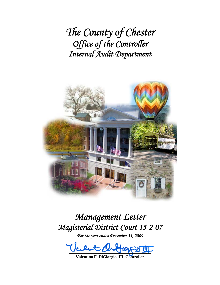*The County of Chester Office of the Controller Internal Audit Department*



# *Management Letter Magisterial District Court 15-2-07*

*For the year ended December 31, 2009* 

 $-22 - 3 - 3 - 8$ 

**Valentino F. DiGiorgio, III, Controller**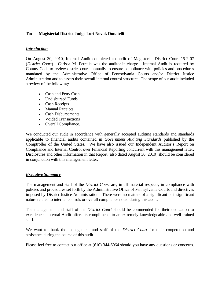## **To: Magisterial District Judge Lori Novak Donatelli**

### *Introduction*

On August 30, 2010, Internal Audit completed an audit of Magisterial District Court 15-2-07 (*District Court*). Carissa M. Petrelia was the auditor-in-charge. Internal Audit is required by County Code to review district courts annually to ensure compliance with policies and procedures mandated by the Administrative Office of Pennsylvania Courts and/or District Justice Administration and to assess their overall internal control structure. The scope of our audit included a review of the following:

- Cash and Petty Cash
- Undisbursed Funds
- Cash Receipts
- Manual Receipts
- Cash Disbursements
- Voided Transactions
- Overall Compliance.

We conducted our audit in accordance with generally accepted auditing standards and standards applicable to financial audits contained in *Government Auditing Standards* published by the Comptroller of the United States. We have also issued our Independent Auditor's Report on Compliance and Internal Control over Financial Reporting concurrent with this management letter. Disclosures and other information in that Report (also dated August 30, 2010) should be considered in conjunction with this management letter.

### *Executive Summary*

The management and staff of the *District Court* are, in all material respects, in compliance with policies and procedures set forth by the Administrative Office of Pennsylvania Courts and directives imposed by District Justice Administration. There were no matters of a significant or insignificant nature related to internal controls or overall compliance noted during this audit.

The management and staff of the *District Court* should be commended for their dedication to excellence. Internal Audit offers its compliments to an extremely knowledgeable and well-trained staff.

We want to thank the management and staff of the *District Court* for their cooperation and assistance during the course of this audit.

Please feel free to contact our office at (610) 344-6064 should you have any questions or concerns.